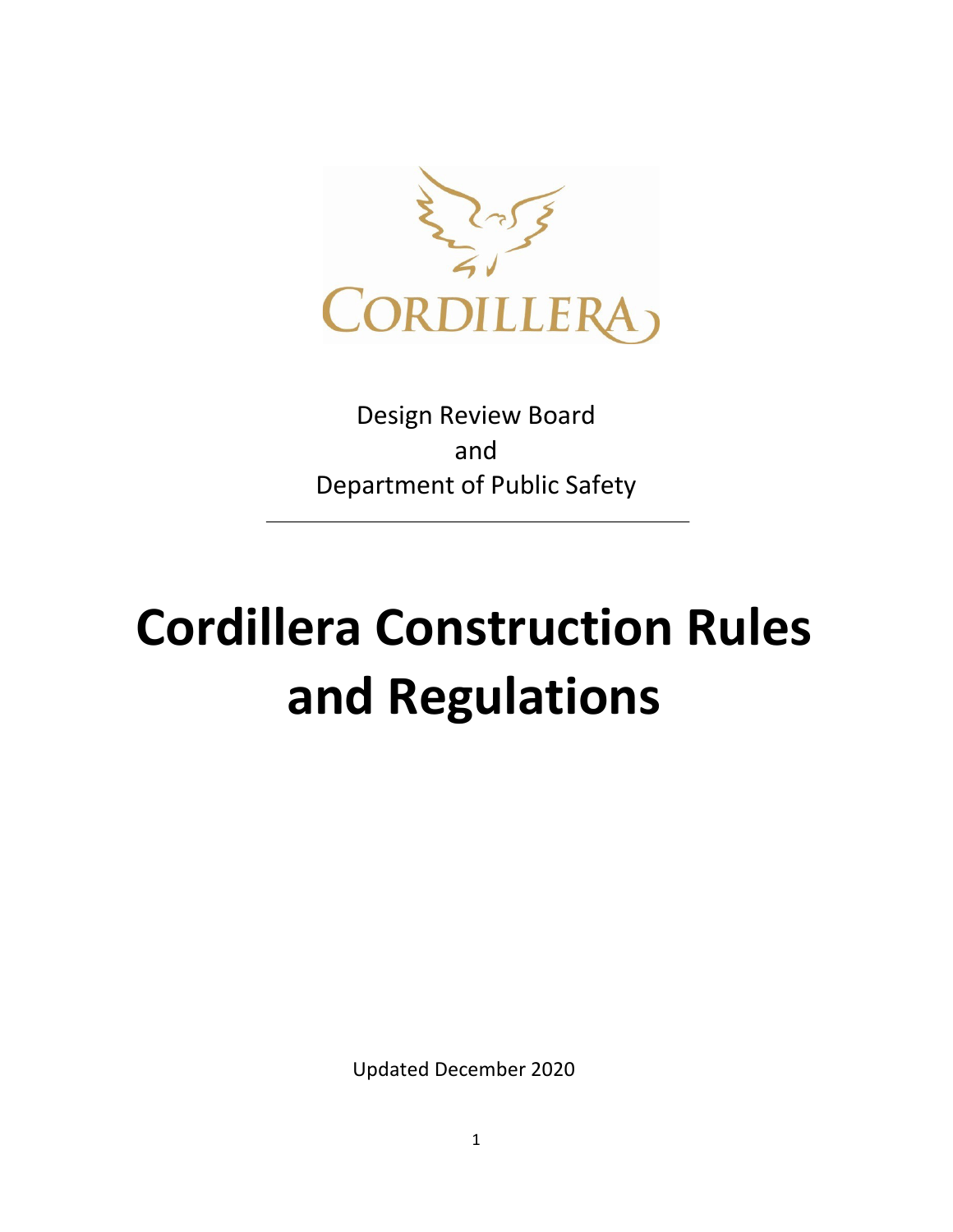

Design Review Board and Department of Public Safety

# **Cordillera Construction Rules and Regulations**

Updated December 2020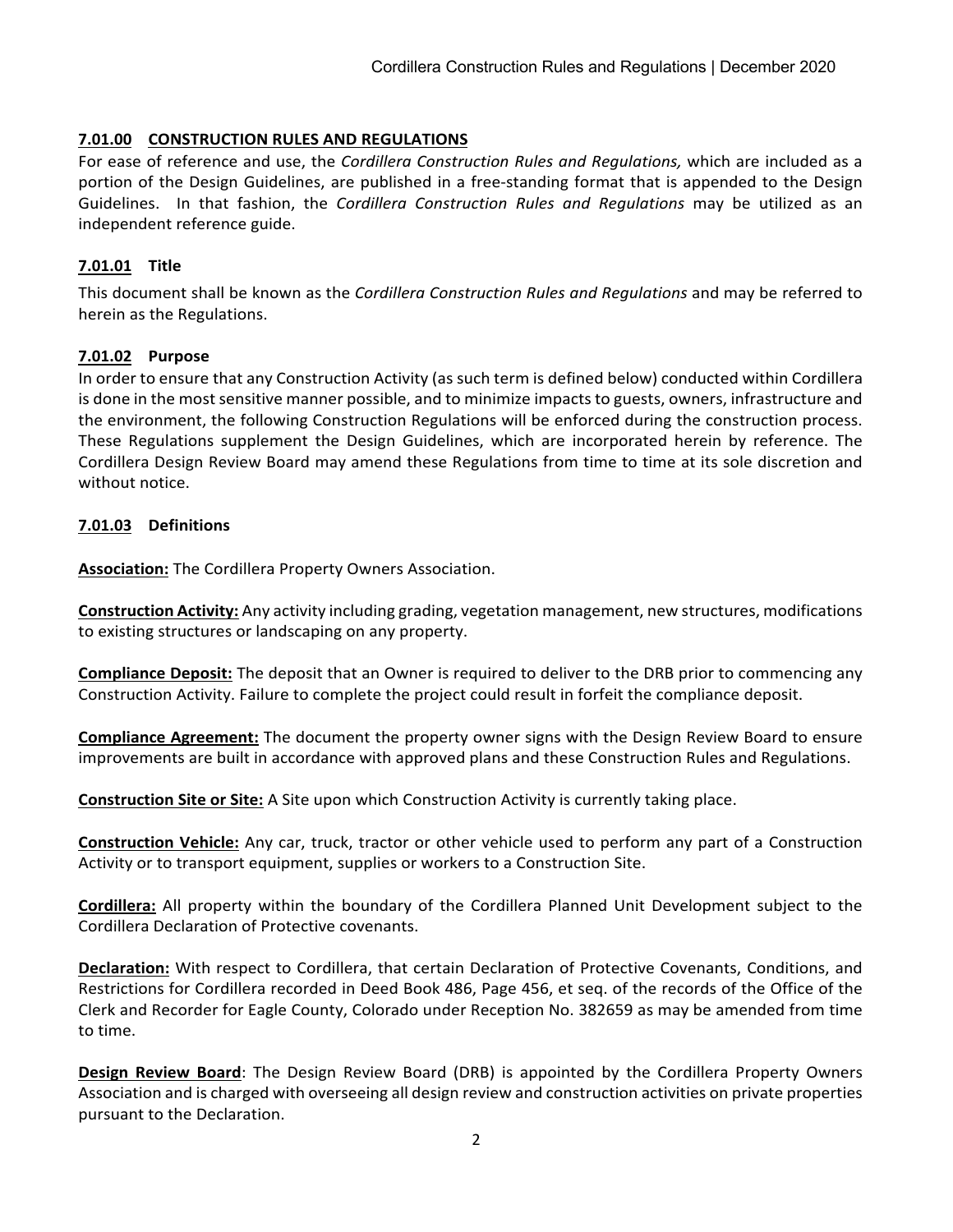#### **7.01.00 CONSTRUCTION RULES AND REGULATIONS**

For ease of reference and use, the *Cordillera Construction Rules and Regulations,* which are included as a portion of the Design Guidelines, are published in a free-standing format that is appended to the Design Guidelines. In that fashion, the *Cordillera Construction Rules and Regulations* may be utilized as an independent reference guide.

#### **7.01.01 Title**

This document shall be known as the *Cordillera Construction Rules and Regulations* and may be referred to herein as the Regulations.

#### **7.01.02 Purpose**

In order to ensure that any Construction Activity (as such term is defined below) conducted within Cordillera is done in the most sensitive manner possible, and to minimize impacts to guests, owners, infrastructure and the environment, the following Construction Regulations will be enforced during the construction process. These Regulations supplement the Design Guidelines, which are incorporated herein by reference. The Cordillera Design Review Board may amend these Regulations from time to time at its sole discretion and without notice.

#### **7.01.03 Definitions**

**Association:** The Cordillera Property Owners Association.

**Construction Activity:** Any activity including grading, vegetation management, new structures, modifications to existing structures or landscaping on any property.

**Compliance Deposit:** The deposit that an Owner is required to deliver to the DRB prior to commencing any Construction Activity. Failure to complete the project could result in forfeit the compliance deposit.

**Compliance Agreement:** The document the property owner signs with the Design Review Board to ensure improvements are built in accordance with approved plans and these Construction Rules and Regulations.

**Construction Site or Site:** A Site upon which Construction Activity is currently taking place.

**Construction Vehicle:** Any car, truck, tractor or other vehicle used to perform any part of a Construction Activity or to transport equipment, supplies or workers to a Construction Site.

**Cordillera:** All property within the boundary of the Cordillera Planned Unit Development subject to the Cordillera Declaration of Protective covenants.

**Declaration:** With respect to Cordillera, that certain Declaration of Protective Covenants, Conditions, and Restrictions for Cordillera recorded in Deed Book 486, Page 456, et seq. of the records of the Office of the Clerk and Recorder for Eagle County, Colorado under Reception No. 382659 as may be amended from time to time.

**Design Review Board**: The Design Review Board (DRB) is appointed by the Cordillera Property Owners Association and is charged with overseeing all design review and construction activities on private properties pursuant to the Declaration.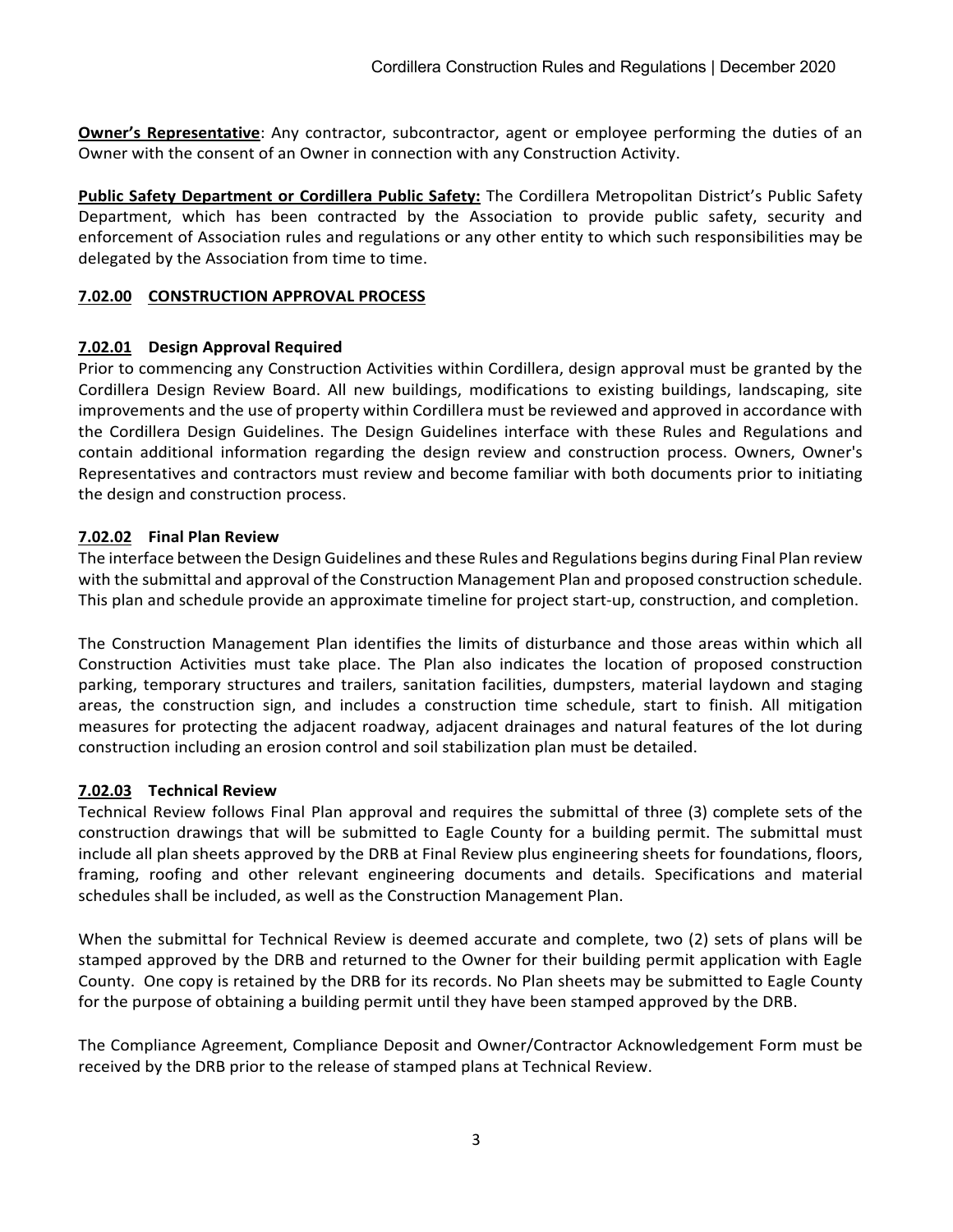**Owner's Representative**: Any contractor, subcontractor, agent or employee performing the duties of an Owner with the consent of an Owner in connection with any Construction Activity.

**Public Safety Department or Cordillera Public Safety:** The Cordillera Metropolitan District's Public Safety Department, which has been contracted by the Association to provide public safety, security and enforcement of Association rules and regulations or any other entity to which such responsibilities may be delegated by the Association from time to time.

#### **7.02.00 CONSTRUCTION APPROVAL PROCESS**

#### **7.02.01 Design Approval Required**

Prior to commencing any Construction Activities within Cordillera, design approval must be granted by the Cordillera Design Review Board. All new buildings, modifications to existing buildings, landscaping, site improvements and the use of property within Cordillera must be reviewed and approved in accordance with the Cordillera Design Guidelines. The Design Guidelines interface with these Rules and Regulations and contain additional information regarding the design review and construction process. Owners, Owner's Representatives and contractors must review and become familiar with both documents prior to initiating the design and construction process.

#### **7.02.02 Final Plan Review**

The interface between the Design Guidelines and these Rules and Regulations begins during Final Plan review with the submittal and approval of the Construction Management Plan and proposed construction schedule. This plan and schedule provide an approximate timeline for project start-up, construction, and completion.

The Construction Management Plan identifies the limits of disturbance and those areas within which all Construction Activities must take place. The Plan also indicates the location of proposed construction parking, temporary structures and trailers, sanitation facilities, dumpsters, material laydown and staging areas, the construction sign, and includes a construction time schedule, start to finish. All mitigation measures for protecting the adjacent roadway, adjacent drainages and natural features of the lot during construction including an erosion control and soil stabilization plan must be detailed.

#### **7.02.03 Technical Review**

Technical Review follows Final Plan approval and requires the submittal of three (3) complete sets of the construction drawings that will be submitted to Eagle County for a building permit. The submittal must include all plan sheets approved by the DRB at Final Review plus engineering sheets for foundations, floors, framing, roofing and other relevant engineering documents and details. Specifications and material schedules shall be included, as well as the Construction Management Plan.

When the submittal for Technical Review is deemed accurate and complete, two (2) sets of plans will be stamped approved by the DRB and returned to the Owner for their building permit application with Eagle County. One copy is retained by the DRB for its records. No Plan sheets may be submitted to Eagle County for the purpose of obtaining a building permit until they have been stamped approved by the DRB.

The Compliance Agreement, Compliance Deposit and Owner/Contractor Acknowledgement Form must be received by the DRB prior to the release of stamped plans at Technical Review.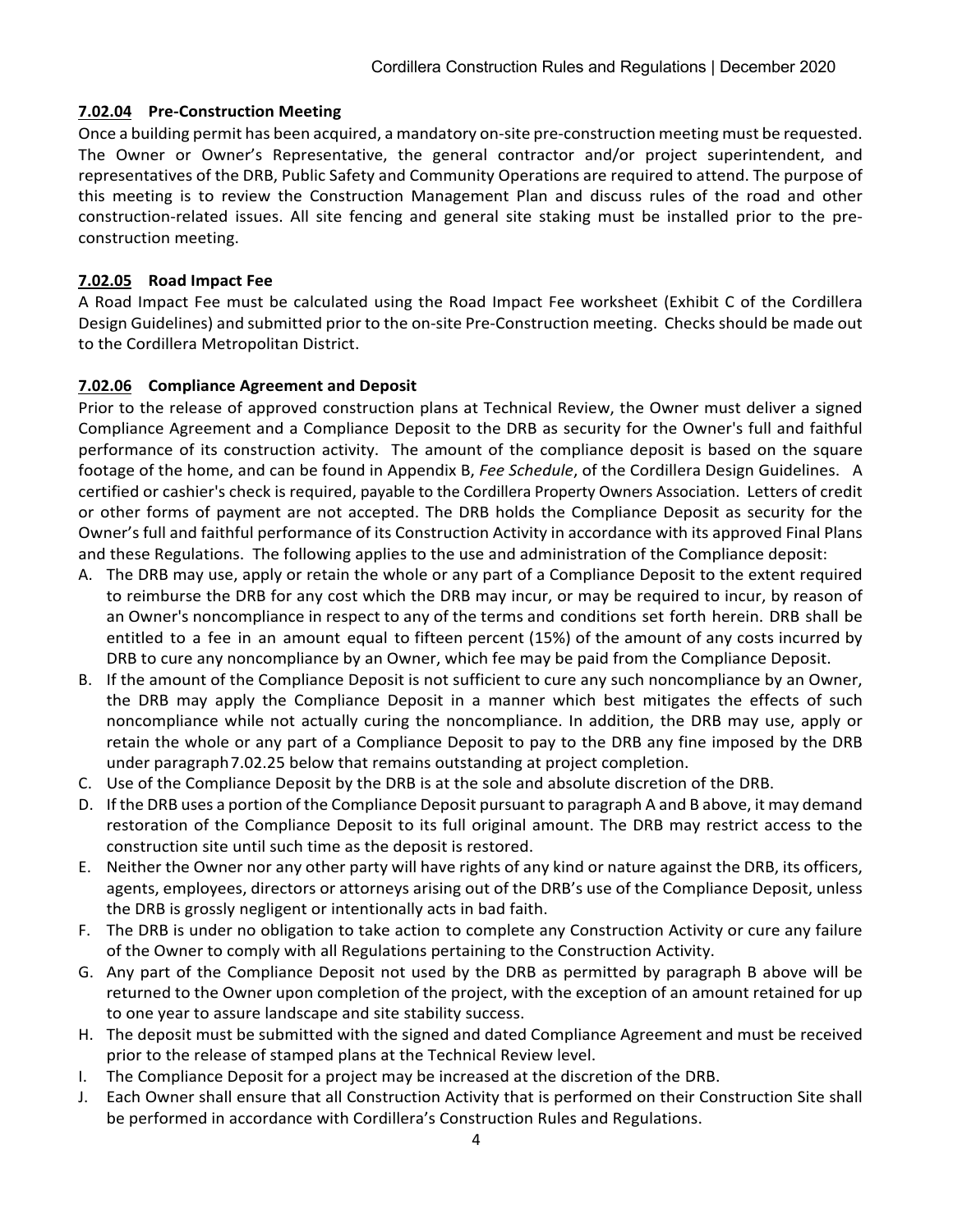#### **7.02.04 Pre-Construction Meeting**

Once a building permit has been acquired, a mandatory on-site pre-construction meeting must be requested. The Owner or Owner's Representative, the general contractor and/or project superintendent, and representatives of the DRB, Public Safety and Community Operations are required to attend. The purpose of this meeting is to review the Construction Management Plan and discuss rules of the road and other construction-related issues. All site fencing and general site staking must be installed prior to the preconstruction meeting.

#### **7.02.05 Road Impact Fee**

A Road Impact Fee must be calculated using the Road Impact Fee worksheet (Exhibit C of the Cordillera Design Guidelines) and submitted prior to the on-site Pre-Construction meeting. Checks should be made out to the Cordillera Metropolitan District.

#### **7.02.06 Compliance Agreement and Deposit**

Prior to the release of approved construction plans at Technical Review, the Owner must deliver a signed Compliance Agreement and a Compliance Deposit to the DRB as security for the Owner's full and faithful performance of its construction activity. The amount of the compliance deposit is based on the square footage of the home, and can be found in Appendix B, *Fee Schedule*, of the Cordillera Design Guidelines. A certified or cashier's check is required, payable to the Cordillera Property Owners Association. Letters of credit or other forms of payment are not accepted. The DRB holds the Compliance Deposit as security for the Owner's full and faithful performance of its Construction Activity in accordance with its approved Final Plans and these Regulations. The following applies to the use and administration of the Compliance deposit:

- A. The DRB may use, apply or retain the whole or any part of a Compliance Deposit to the extent required to reimburse the DRB for any cost which the DRB may incur, or may be required to incur, by reason of an Owner's noncompliance in respect to any of the terms and conditions set forth herein. DRB shall be entitled to a fee in an amount equal to fifteen percent (15%) of the amount of any costs incurred by DRB to cure any noncompliance by an Owner, which fee may be paid from the Compliance Deposit.
- B. If the amount of the Compliance Deposit is not sufficient to cure any such noncompliance by an Owner, the DRB may apply the Compliance Deposit in a manner which best mitigates the effects of such noncompliance while not actually curing the noncompliance. In addition, the DRB may use, apply or retain the whole or any part of a Compliance Deposit to pay to the DRB any fine imposed by the DRB under paragraph7.02.25 below that remains outstanding at project completion.
- C. Use of the Compliance Deposit by the DRB is at the sole and absolute discretion of the DRB.
- D. If the DRB uses a portion of the Compliance Deposit pursuant to paragraph A and B above, it may demand restoration of the Compliance Deposit to its full original amount. The DRB may restrict access to the construction site until such time as the deposit is restored.
- E. Neither the Owner nor any other party will have rights of any kind or nature against the DRB, its officers, agents, employees, directors or attorneys arising out of the DRB's use of the Compliance Deposit, unless the DRB is grossly negligent or intentionally acts in bad faith.
- F. The DRB is under no obligation to take action to complete any Construction Activity or cure any failure of the Owner to comply with all Regulations pertaining to the Construction Activity.
- G. Any part of the Compliance Deposit not used by the DRB as permitted by paragraph B above will be returned to the Owner upon completion of the project, with the exception of an amount retained for up to one year to assure landscape and site stability success.
- H. The deposit must be submitted with the signed and dated Compliance Agreement and must be received prior to the release of stamped plans at the Technical Review level.
- I. The Compliance Deposit for a project may be increased at the discretion of the DRB.
- J. Each Owner shall ensure that all Construction Activity that is performed on their Construction Site shall be performed in accordance with Cordillera's Construction Rules and Regulations.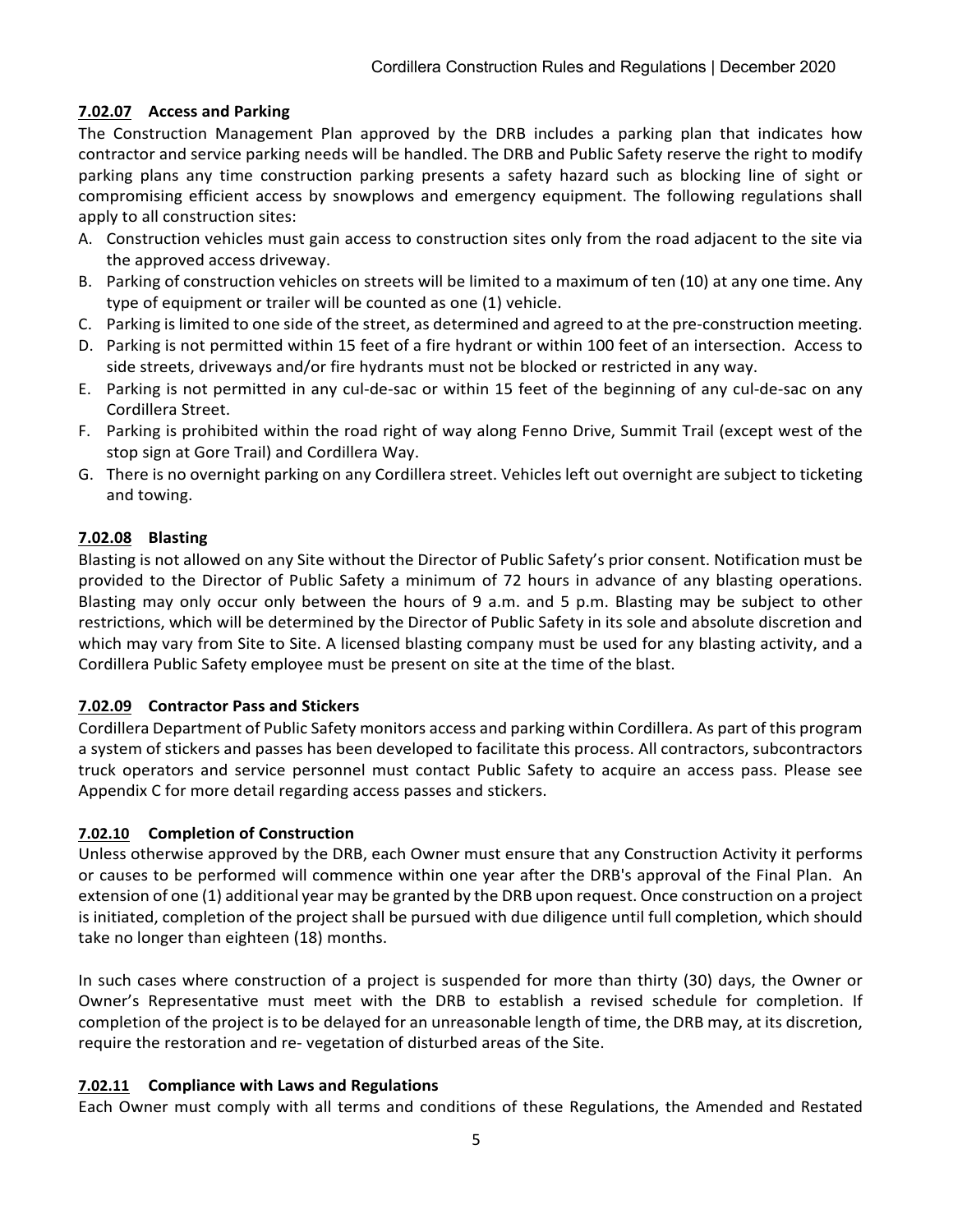# **7.02.07 Access and Parking**

The Construction Management Plan approved by the DRB includes a parking plan that indicates how contractor and service parking needs will be handled. The DRB and Public Safety reserve the right to modify parking plans any time construction parking presents a safety hazard such as blocking line of sight or compromising efficient access by snowplows and emergency equipment. The following regulations shall apply to all construction sites:

- A. Construction vehicles must gain access to construction sites only from the road adjacent to the site via the approved access driveway.
- B. Parking of construction vehicles on streets will be limited to a maximum of ten (10) at any one time. Any type of equipment or trailer will be counted as one (1) vehicle.
- C. Parking islimited to one side of the street, as determined and agreed to at the pre-construction meeting.
- D. Parking is not permitted within 15 feet of a fire hydrant or within 100 feet of an intersection. Access to side streets, driveways and/or fire hydrants must not be blocked or restricted in any way.
- E. Parking is not permitted in any cul-de-sac or within 15 feet of the beginning of any cul-de-sac on any Cordillera Street.
- F. Parking is prohibited within the road right of way along Fenno Drive, Summit Trail (except west of the stop sign at Gore Trail) and Cordillera Way.
- G. There is no overnight parking on any Cordillera street. Vehicles left out overnight are subject to ticketing and towing.

# **7.02.08 Blasting**

Blasting is not allowed on any Site without the Director of Public Safety's prior consent. Notification must be provided to the Director of Public Safety a minimum of 72 hours in advance of any blasting operations. Blasting may only occur only between the hours of 9 a.m. and 5 p.m. Blasting may be subject to other restrictions, which will be determined by the Director of Public Safety in its sole and absolute discretion and which may vary from Site to Site. A licensed blasting company must be used for any blasting activity, and a Cordillera Public Safety employee must be present on site at the time of the blast.

# **7.02.09 Contractor Pass and Stickers**

Cordillera Department of Public Safety monitors access and parking within Cordillera. As part of this program a system of stickers and passes has been developed to facilitate this process. All contractors, subcontractors truck operators and service personnel must contact Public Safety to acquire an access pass. Please see Appendix C for more detail regarding access passes and stickers.

# **7.02.10 Completion of Construction**

Unless otherwise approved by the DRB, each Owner must ensure that any Construction Activity it performs or causes to be performed will commence within one year after the DRB's approval of the Final Plan. An extension of one (1) additional year may be granted by the DRB upon request. Once construction on a project is initiated, completion of the project shall be pursued with due diligence until full completion, which should take no longer than eighteen (18) months.

In such cases where construction of a project is suspended for more than thirty (30) days, the Owner or Owner's Representative must meet with the DRB to establish a revised schedule for completion. If completion of the project is to be delayed for an unreasonable length of time, the DRB may, at its discretion, require the restoration and re- vegetation of disturbed areas of the Site.

# **7.02.11 Compliance with Laws and Regulations**

Each Owner must comply with all terms and conditions of these Regulations, the Amended and Restated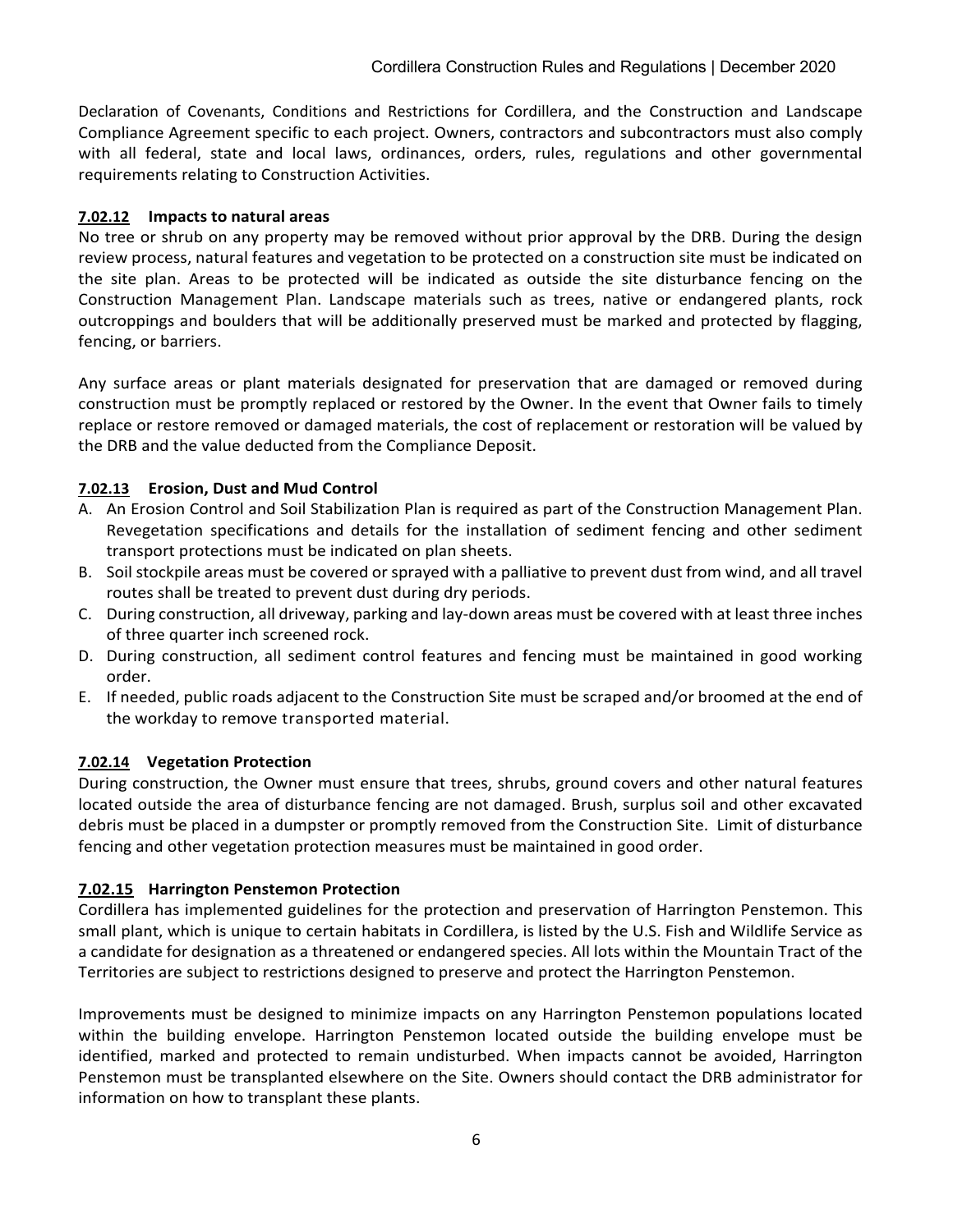Declaration of Covenants, Conditions and Restrictions for Cordillera, and the Construction and Landscape Compliance Agreement specific to each project. Owners, contractors and subcontractors must also comply with all federal, state and local laws, ordinances, orders, rules, regulations and other governmental requirements relating to Construction Activities.

## **7.02.12 Impacts to natural areas**

No tree or shrub on any property may be removed without prior approval by the DRB. During the design review process, natural features and vegetation to be protected on a construction site must be indicated on the site plan. Areas to be protected will be indicated as outside the site disturbance fencing on the Construction Management Plan. Landscape materials such as trees, native or endangered plants, rock outcroppings and boulders that will be additionally preserved must be marked and protected by flagging, fencing, or barriers.

Any surface areas or plant materials designated for preservation that are damaged or removed during construction must be promptly replaced or restored by the Owner. In the event that Owner fails to timely replace or restore removed or damaged materials, the cost of replacement or restoration will be valued by the DRB and the value deducted from the Compliance Deposit.

# **7.02.13 Erosion, Dust and Mud Control**

- A. An Erosion Control and Soil Stabilization Plan is required as part of the Construction Management Plan. Revegetation specifications and details for the installation of sediment fencing and other sediment transport protections must be indicated on plan sheets.
- B. Soil stockpile areas must be covered or sprayed with a palliative to prevent dust from wind, and all travel routes shall be treated to prevent dust during dry periods.
- C. During construction, all driveway, parking and lay-down areas must be covered with at least three inches of three quarter inch screened rock.
- D. During construction, all sediment control features and fencing must be maintained in good working order.
- E. If needed, public roads adjacent to the Construction Site must be scraped and/or broomed at the end of the workday to remove transported material.

## **7.02.14 Vegetation Protection**

During construction, the Owner must ensure that trees, shrubs, ground covers and other natural features located outside the area of disturbance fencing are not damaged. Brush, surplus soil and other excavated debris must be placed in a dumpster or promptly removed from the Construction Site. Limit of disturbance fencing and other vegetation protection measures must be maintained in good order.

## **7.02.15 Harrington Penstemon Protection**

Cordillera has implemented guidelines for the protection and preservation of Harrington Penstemon. This small plant, which is unique to certain habitats in Cordillera, is listed by the U.S. Fish and Wildlife Service as a candidate for designation as a threatened or endangered species. All lots within the Mountain Tract of the Territories are subject to restrictions designed to preserve and protect the Harrington Penstemon.

Improvements must be designed to minimize impacts on any Harrington Penstemon populations located within the building envelope. Harrington Penstemon located outside the building envelope must be identified, marked and protected to remain undisturbed. When impacts cannot be avoided, Harrington Penstemon must be transplanted elsewhere on the Site. Owners should contact the DRB administrator for information on how to transplant these plants.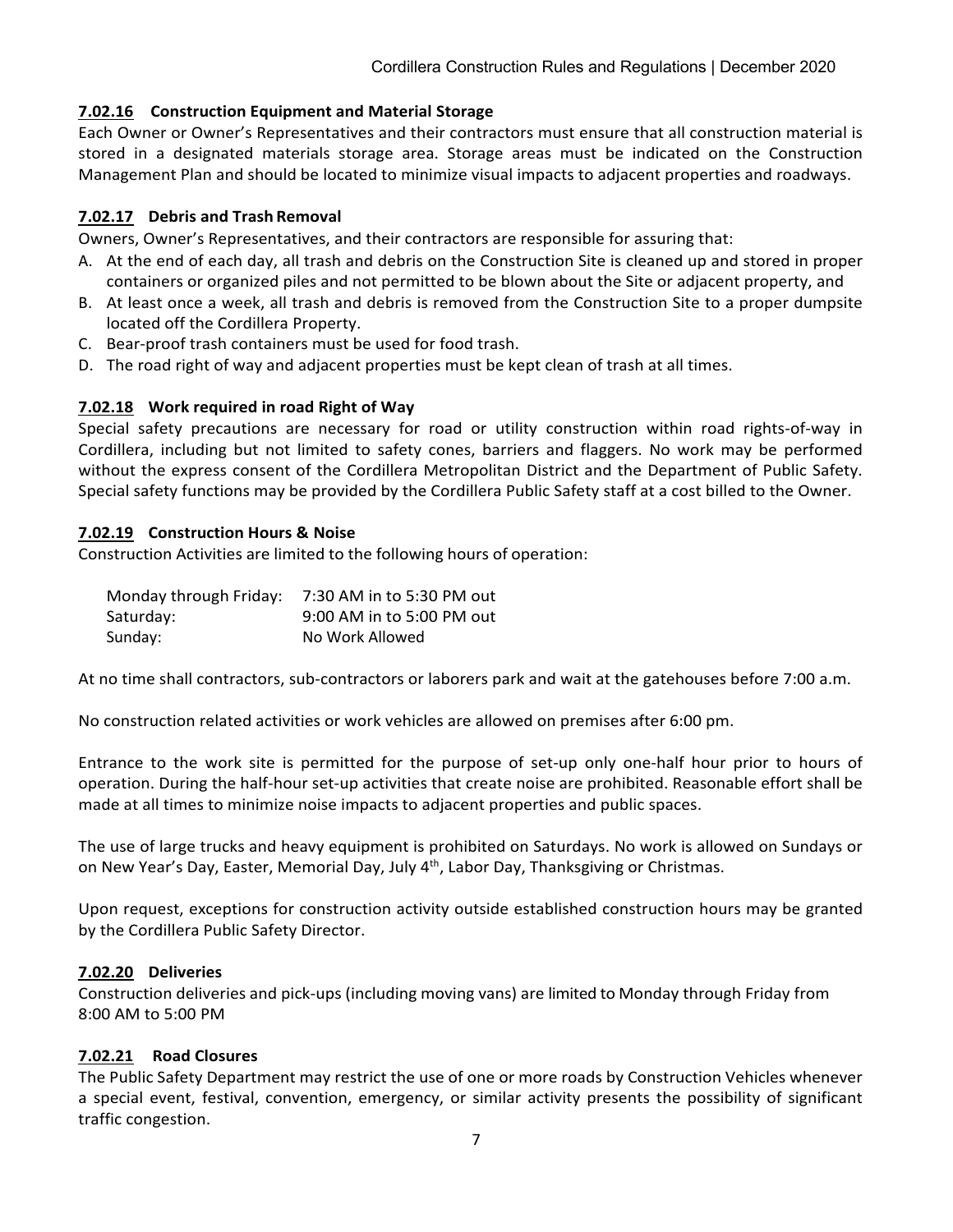#### **7.02.16 Construction Equipment and Material Storage**

Each Owner or Owner's Representatives and their contractors must ensure that all construction material is stored in a designated materials storage area. Storage areas must be indicated on the Construction Management Plan and should be located to minimize visual impacts to adjacent properties and roadways.

#### **7.02.17 Debris and Trash Removal**

Owners, Owner's Representatives, and their contractors are responsible for assuring that:

- A. At the end of each day, all trash and debris on the Construction Site is cleaned up and stored in proper containers or organized piles and not permitted to be blown about the Site or adjacent property, and
- B. At least once a week, all trash and debris is removed from the Construction Site to a proper dumpsite located off the Cordillera Property.
- C. Bear-proof trash containers must be used for food trash.
- D. The road right of way and adjacent properties must be kept clean of trash at all times.

#### **7.02.18 Work required in road Right of Way**

Special safety precautions are necessary for road or utility construction within road rights-of-way in Cordillera, including but not limited to safety cones, barriers and flaggers. No work may be performed without the express consent of the Cordillera Metropolitan District and the Department of Public Safety. Special safety functions may be provided by the Cordillera Public Safety staff at a cost billed to the Owner.

#### **7.02.19 Construction Hours & Noise**

Construction Activities are limited to the following hours of operation:

| Monday through Friday: | 7:30 AM in to 5:30 PM out |
|------------------------|---------------------------|
| Saturday:              | 9:00 AM in to 5:00 PM out |
| Sunday:                | No Work Allowed           |

At no time shall contractors, sub-contractors or laborers park and wait at the gatehouses before 7:00 a.m.

No construction related activities or work vehicles are allowed on premises after 6:00 pm.

Entrance to the work site is permitted for the purpose of set-up only one-half hour prior to hours of operation. During the half-hour set-up activities that create noise are prohibited. Reasonable effort shall be made at all times to minimize noise impacts to adjacent properties and public spaces.

The use of large trucks and heavy equipment is prohibited on Saturdays. No work is allowed on Sundays or on New Year's Day, Easter, Memorial Day, July  $4<sup>th</sup>$ , Labor Day, Thanksgiving or Christmas.

Upon request, exceptions for construction activity outside established construction hours may be granted by the Cordillera Public Safety Director.

#### **7.02.20 Deliveries**

Construction deliveries and pick-ups (including moving vans) are limited to Monday through Friday from 8:00 AM to 5:00 PM

#### **7.02.21 Road Closures**

The Public Safety Department may restrict the use of one or more roads by Construction Vehicles whenever a special event, festival, convention, emergency, or similar activity presents the possibility of significant traffic congestion.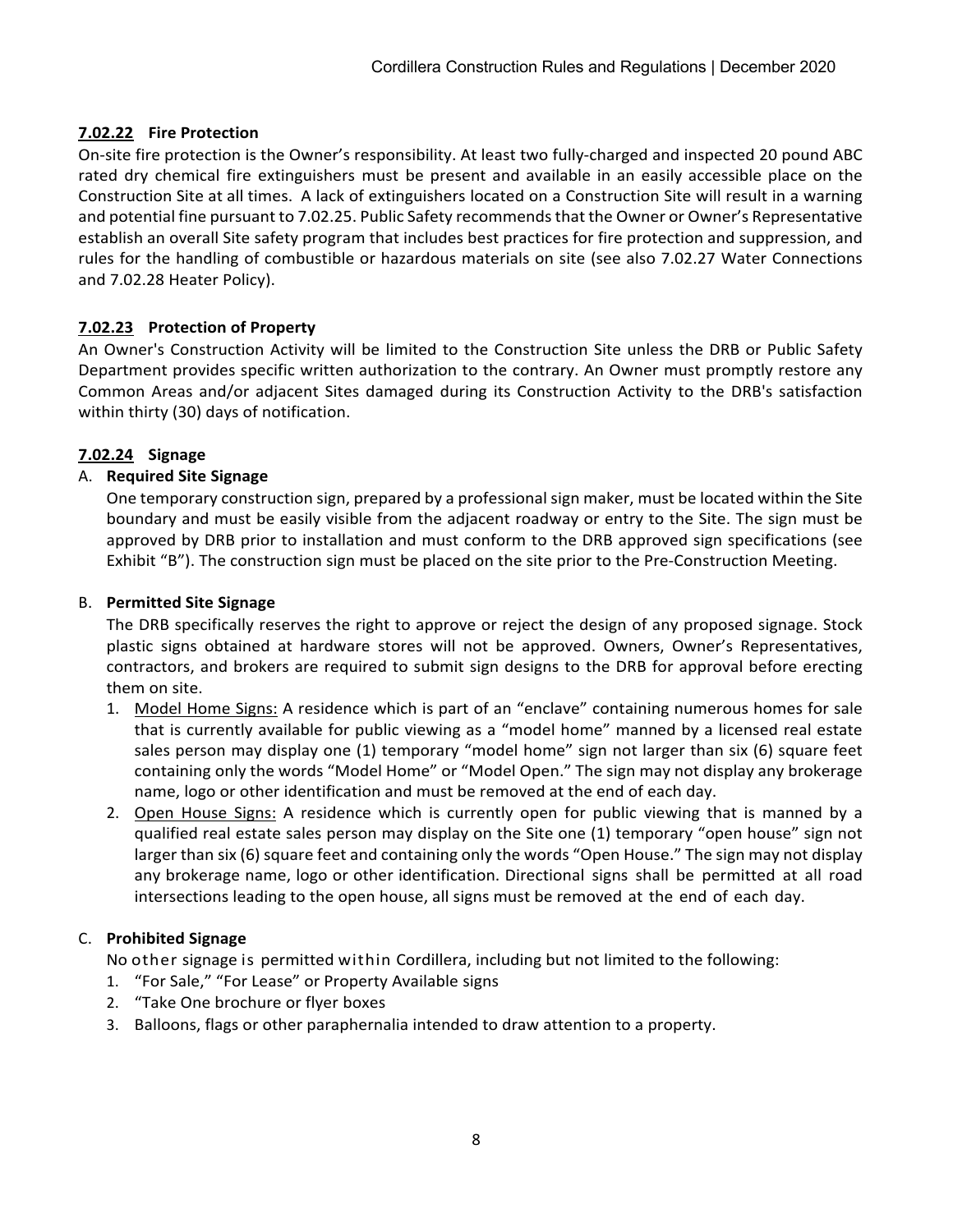# **7.02.22 Fire Protection**

On-site fire protection is the Owner's responsibility. At least two fully-charged and inspected 20 pound ABC rated dry chemical fire extinguishers must be present and available in an easily accessible place on the Construction Site at all times. A lack of extinguishers located on a Construction Site will result in a warning and potential fine pursuant to 7.02.25. Public Safety recommends that the Owner or Owner's Representative establish an overall Site safety program that includes best practices for fire protection and suppression, and rules for the handling of combustible or hazardous materials on site (see also 7.02.27 Water Connections and 7.02.28 Heater Policy).

# **7.02.23 Protection of Property**

An Owner's Construction Activity will be limited to the Construction Site unless the DRB or Public Safety Department provides specific written authorization to the contrary. An Owner must promptly restore any Common Areas and/or adjacent Sites damaged during its Construction Activity to the DRB's satisfaction within thirty (30) days of notification.

## **7.02.24 Signage**

## A. **Required Site Signage**

One temporary construction sign, prepared by a professional sign maker, must be located within the Site boundary and must be easily visible from the adjacent roadway or entry to the Site. The sign must be approved by DRB prior to installation and must conform to the DRB approved sign specifications (see Exhibit "B"). The construction sign must be placed on the site prior to the Pre-Construction Meeting.

## B. **Permitted Site Signage**

The DRB specifically reserves the right to approve or reject the design of any proposed signage. Stock plastic signs obtained at hardware stores will not be approved. Owners, Owner's Representatives, contractors, and brokers are required to submit sign designs to the DRB for approval before erecting them on site.

- 1. Model Home Signs: A residence which is part of an "enclave" containing numerous homes for sale that is currently available for public viewing as a "model home" manned by a licensed real estate sales person may display one (1) temporary "model home" sign not larger than six (6) square feet containing only the words "Model Home" or "Model Open." The sign may not display any brokerage name, logo or other identification and must be removed at the end of each day.
- 2. Open House Signs: A residence which is currently open for public viewing that is manned by a qualified real estate sales person may display on the Site one (1) temporary "open house" sign not larger than six (6) square feet and containing only the words "Open House." The sign may not display any brokerage name, logo or other identification. Directional signs shall be permitted at all road intersections leading to the open house, all signs must be removed at the end of each day.

# C. **Prohibited Signage**

No other signage is permitted within Cordillera, including but not limited to the following:

- 1. "For Sale," "For Lease" or Property Available signs
- 2. "Take One brochure or flyer boxes
- 3. Balloons, flags or other paraphernalia intended to draw attention to a property.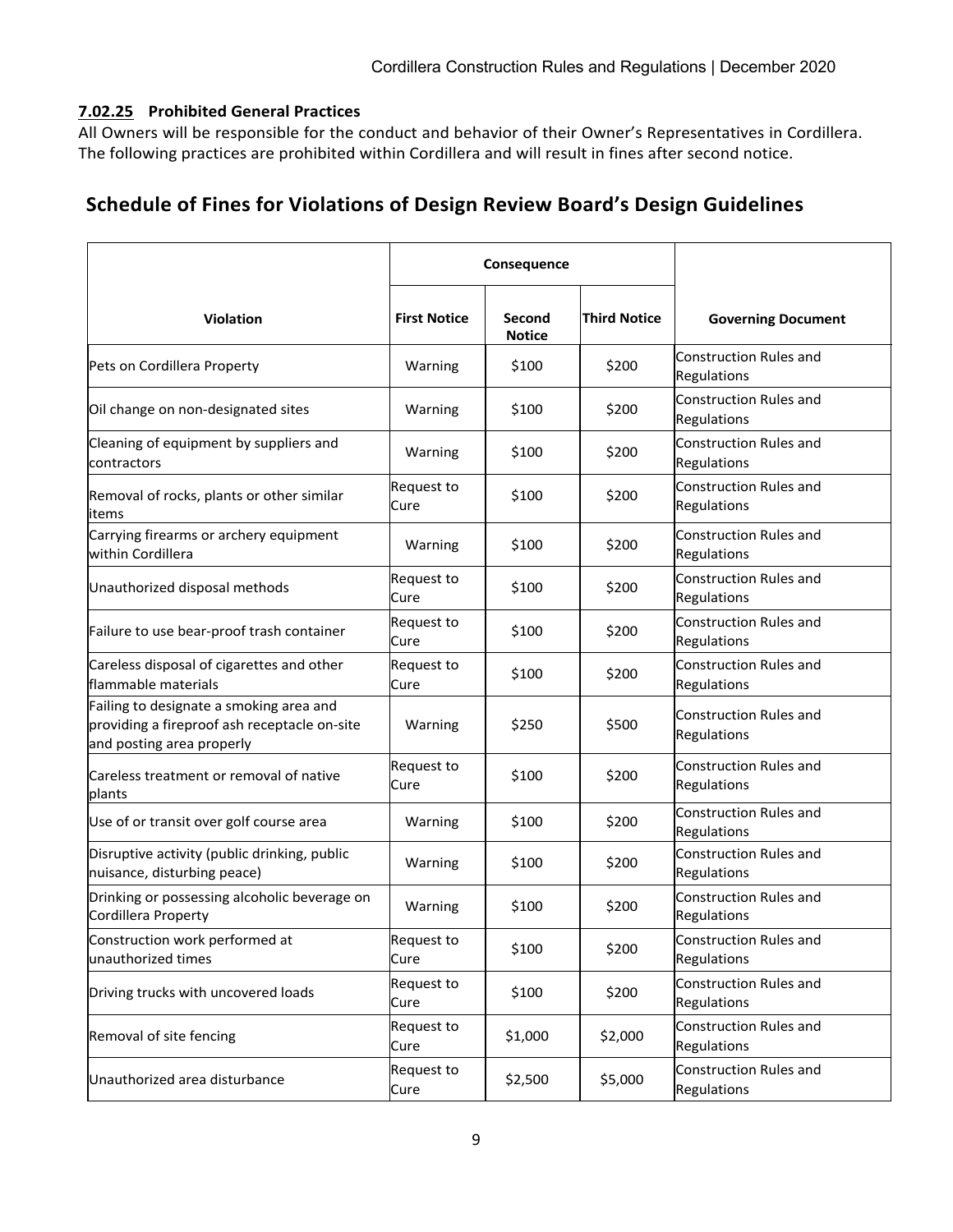#### **7.02.25 Prohibited General Practices**

All Owners will be responsible for the conduct and behavior of their Owner's Representatives in Cordillera. The following practices are prohibited within Cordillera and will result in fines after second notice.

# **Schedule of Fines for Violations of Design Review Board's Design Guidelines**

|                                                                                                                      | Consequence         |                         |                     |                                              |
|----------------------------------------------------------------------------------------------------------------------|---------------------|-------------------------|---------------------|----------------------------------------------|
| <b>Violation</b>                                                                                                     | <b>First Notice</b> | Second<br><b>Notice</b> | <b>Third Notice</b> | <b>Governing Document</b>                    |
| Pets on Cordillera Property                                                                                          | Warning             | \$100                   | \$200               | <b>Construction Rules and</b><br>Regulations |
| Oil change on non-designated sites                                                                                   | Warning             | \$100                   | \$200               | Construction Rules and<br>Regulations        |
| Cleaning of equipment by suppliers and<br>contractors                                                                | Warning             | \$100                   | \$200               | Construction Rules and<br>Regulations        |
| Removal of rocks, plants or other similar<br>items                                                                   | Request to<br>Cure  | \$100                   | \$200               | <b>Construction Rules and</b><br>Regulations |
| Carrying firearms or archery equipment<br>within Cordillera                                                          | Warning             | \$100                   | \$200               | Construction Rules and<br>Regulations        |
| Unauthorized disposal methods                                                                                        | Request to<br>Cure  | \$100                   | \$200               | <b>Construction Rules and</b><br>Regulations |
| Failure to use bear-proof trash container                                                                            | Request to<br>Cure  | \$100                   | \$200               | Construction Rules and<br>Regulations        |
| Careless disposal of cigarettes and other<br>flammable materials                                                     | Request to<br>Cure  | \$100                   | \$200               | <b>Construction Rules and</b><br>Regulations |
| Failing to designate a smoking area and<br>providing a fireproof ash receptacle on-site<br>and posting area properly | Warning             | \$250                   | \$500               | <b>Construction Rules and</b><br>Regulations |
| Careless treatment or removal of native<br>plants                                                                    | Request to<br>Cure  | \$100                   | \$200               | <b>Construction Rules and</b><br>Regulations |
| Use of or transit over golf course area                                                                              | Warning             | \$100                   | \$200               | <b>Construction Rules and</b><br>Regulations |
| Disruptive activity (public drinking, public<br>nuisance, disturbing peace)                                          | Warning             | \$100                   | \$200               | Construction Rules and<br>Regulations        |
| Drinking or possessing alcoholic beverage on<br>Cordillera Property                                                  | Warning             | \$100                   | \$200               | Construction Rules and<br>Regulations        |
| Construction work performed at<br>unauthorized times                                                                 | Request to<br>Cure  | \$100                   | \$200               | Construction Rules and<br>Regulations        |
| Driving trucks with uncovered loads                                                                                  | Request to<br>Cure  | \$100                   | \$200               | Construction Rules and<br>Regulations        |
| Removal of site fencing                                                                                              | Request to<br>Cure  | \$1,000                 | \$2,000             | Construction Rules and<br>Regulations        |
| Unauthorized area disturbance                                                                                        | Request to<br>Cure  | \$2,500                 | \$5,000             | Construction Rules and<br>Regulations        |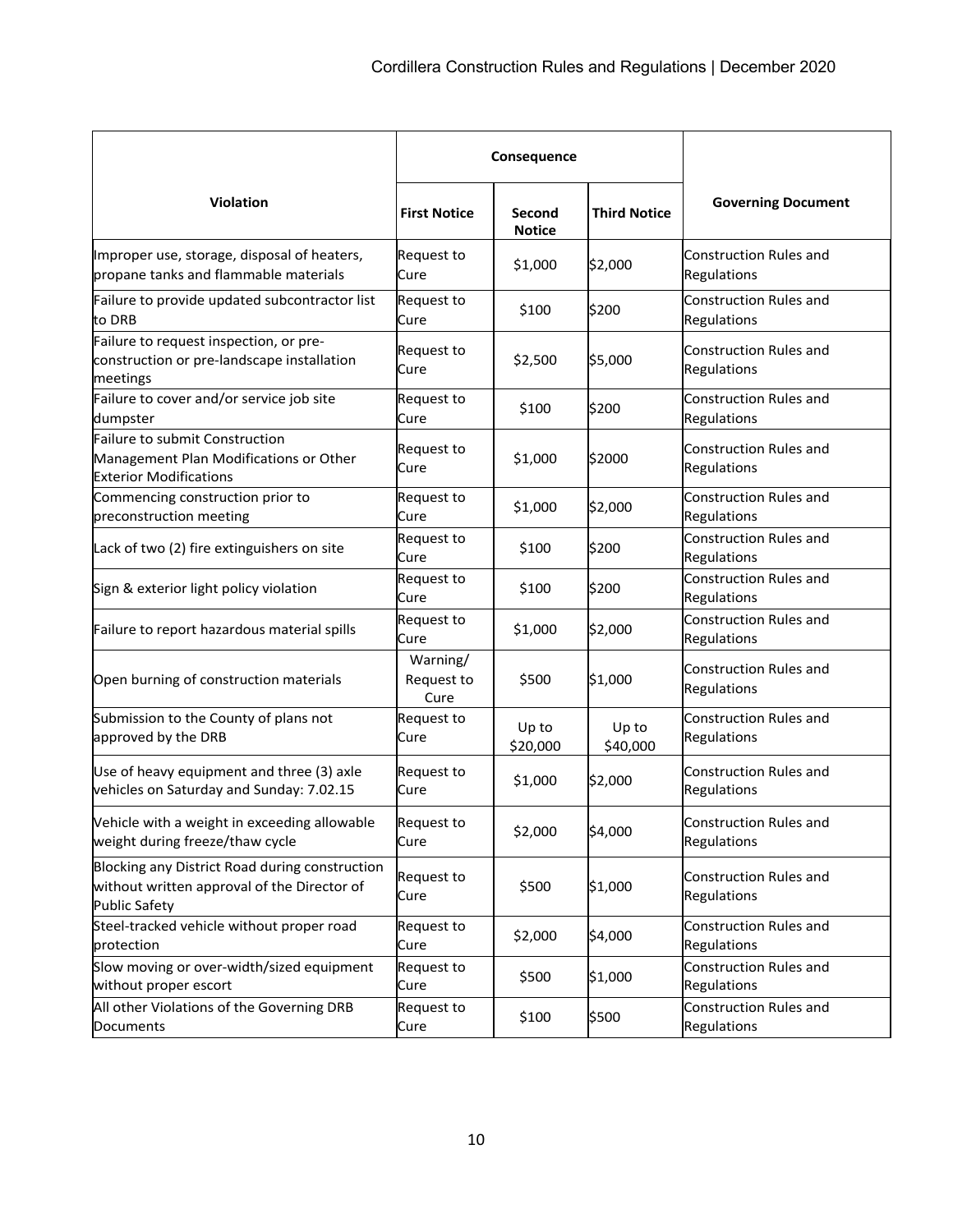|                                                                                                                       | Consequence                    |                         |                     |                                              |
|-----------------------------------------------------------------------------------------------------------------------|--------------------------------|-------------------------|---------------------|----------------------------------------------|
| <b>Violation</b>                                                                                                      | <b>First Notice</b>            | Second<br><b>Notice</b> | <b>Third Notice</b> | <b>Governing Document</b>                    |
| Improper use, storage, disposal of heaters,<br>propane tanks and flammable materials                                  | Request to<br>Cure             | \$1,000                 | \$2,000             | <b>Construction Rules and</b><br>Regulations |
| Failure to provide updated subcontractor list<br>to DRB                                                               | Request to<br>Cure             | \$100                   | \$200               | <b>Construction Rules and</b><br>Regulations |
| Failure to request inspection, or pre-<br>construction or pre-landscape installation<br>meetings                      | Request to<br>Cure             | \$2,500                 | \$5,000             | <b>Construction Rules and</b><br>Regulations |
| Failure to cover and/or service job site<br>dumpster                                                                  | Request to<br>Cure             | \$100                   | \$200               | <b>Construction Rules and</b><br>Regulations |
| Failure to submit Construction<br>Management Plan Modifications or Other<br><b>Exterior Modifications</b>             | Request to<br>Cure             | \$1,000                 | \$2000              | <b>Construction Rules and</b><br>Regulations |
| Commencing construction prior to<br>preconstruction meeting                                                           | Request to<br>Cure             | \$1,000                 | \$2,000             | <b>Construction Rules and</b><br>Regulations |
| Lack of two (2) fire extinguishers on site                                                                            | Request to<br>Cure             | \$100                   | \$200               | <b>Construction Rules and</b><br>Regulations |
| Sign & exterior light policy violation                                                                                | Request to<br>Cure             | \$100                   | \$200               | Construction Rules and<br>Regulations        |
| Failure to report hazardous material spills                                                                           | Request to<br>Cure             | \$1,000                 | \$2,000             | <b>Construction Rules and</b><br>Regulations |
| Open burning of construction materials                                                                                | Warning/<br>Request to<br>Cure | \$500                   | \$1,000             | <b>Construction Rules and</b><br>Regulations |
| Submission to the County of plans not<br>approved by the DRB                                                          | Request to<br>Cure             | Up to<br>\$20,000       | Up to<br>\$40,000   | <b>Construction Rules and</b><br>Regulations |
| Use of heavy equipment and three (3) axle<br>vehicles on Saturday and Sunday: 7.02.15                                 | Request to<br>Cure             | \$1,000                 | \$2,000             | <b>Construction Rules and</b><br>Regulations |
| Vehicle with a weight in exceeding allowable<br>weight during freeze/thaw cycle                                       | Request to<br>Cure             | \$2,000                 | \$4,000             | Construction Rules and<br>Regulations        |
| Blocking any District Road during construction<br>without written approval of the Director of<br><b>Public Safety</b> | Request to<br>Cure             | \$500                   | \$1,000             | Construction Rules and<br>Regulations        |
| Steel-tracked vehicle without proper road<br>protection                                                               | Request to<br>Cure             | \$2,000                 | \$4,000             | Construction Rules and<br>Regulations        |
| Slow moving or over-width/sized equipment<br>without proper escort                                                    | Request to<br>Cure             | \$500                   | \$1,000             | <b>Construction Rules and</b><br>Regulations |
| All other Violations of the Governing DRB<br>Documents                                                                | Request to<br>Cure             | \$100                   | \$500               | Construction Rules and<br>Regulations        |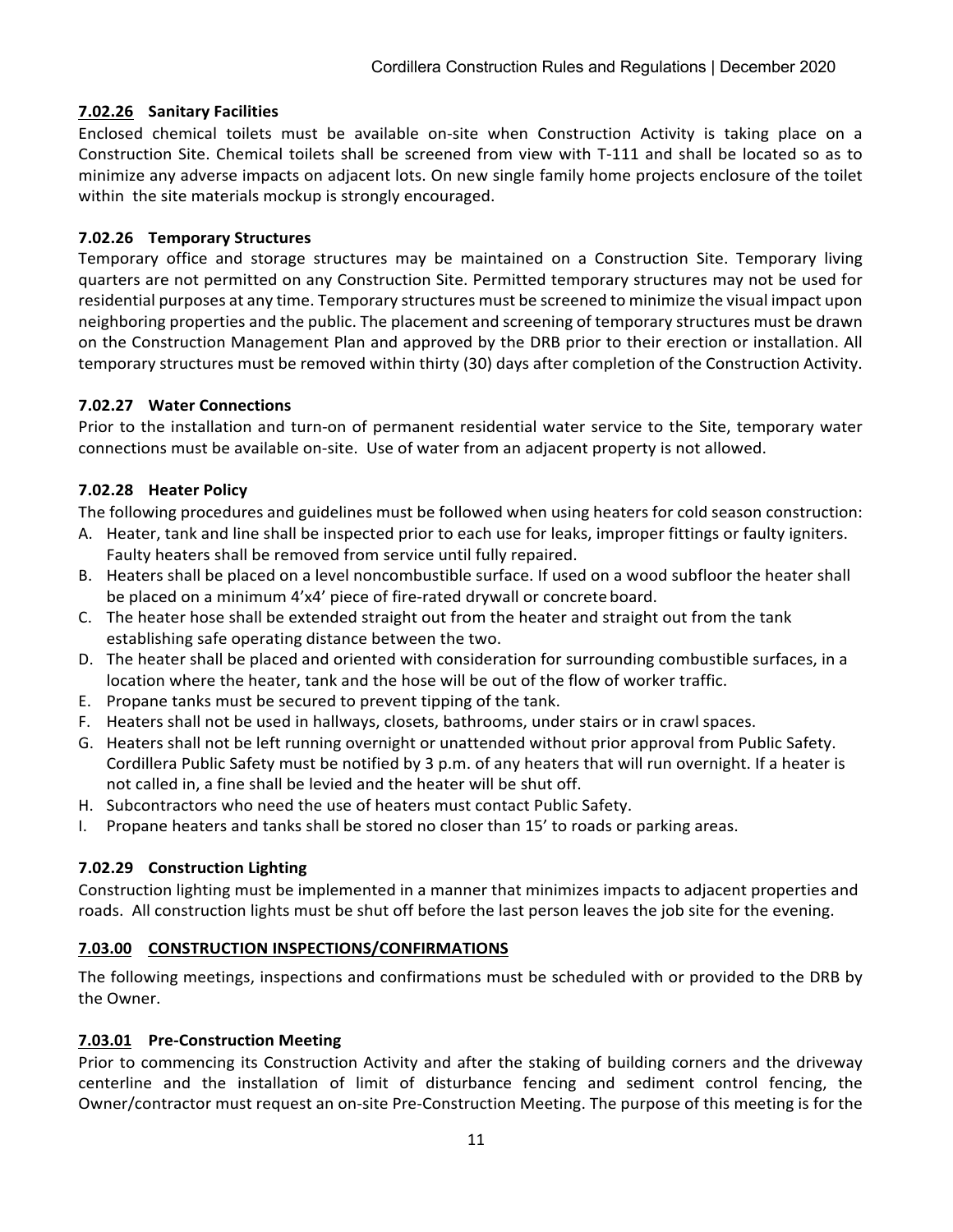## **7.02.26 Sanitary Facilities**

Enclosed chemical toilets must be available on-site when Construction Activity is taking place on a Construction Site. Chemical toilets shall be screened from view with T-111 and shall be located so as to minimize any adverse impacts on adjacent lots. On new single family home projects enclosure of the toilet within the site materials mockup is strongly encouraged.

## **7.02.26 Temporary Structures**

Temporary office and storage structures may be maintained on a Construction Site. Temporary living quarters are not permitted on any Construction Site. Permitted temporary structures may not be used for residential purposes at any time. Temporary structures must be screened to minimize the visual impact upon neighboring properties and the public. The placement and screening of temporary structures must be drawn on the Construction Management Plan and approved by the DRB prior to their erection or installation. All temporary structures must be removed within thirty (30) days after completion of the Construction Activity.

## **7.02.27 Water Connections**

Prior to the installation and turn-on of permanent residential water service to the Site, temporary water connections must be available on-site. Use of water from an adjacent property is not allowed.

## **7.02.28 Heater Policy**

The following procedures and guidelines must be followed when using heaters for cold season construction:

- A. Heater, tank and line shall be inspected prior to each use for leaks, improper fittings or faulty igniters. Faulty heaters shall be removed from service until fully repaired.
- B. Heaters shall be placed on a level noncombustible surface. If used on a wood subfloor the heater shall be placed on a minimum 4'x4' piece of fire-rated drywall or concreteboard.
- C. The heater hose shall be extended straight out from the heater and straight out from the tank establishing safe operating distance between the two.
- D. The heater shall be placed and oriented with consideration for surrounding combustible surfaces, in a location where the heater, tank and the hose will be out of the flow of worker traffic.
- E. Propane tanks must be secured to prevent tipping of the tank.
- F. Heaters shall not be used in hallways, closets, bathrooms, under stairs or in crawl spaces.
- G. Heaters shall not be left running overnight or unattended without prior approval from Public Safety. Cordillera Public Safety must be notified by 3 p.m. of any heaters that will run overnight. If a heater is not called in, a fine shall be levied and the heater will be shut off.
- H. Subcontractors who need the use of heaters must contact Public Safety.
- I. Propane heaters and tanks shall be stored no closer than 15' to roads or parking areas.

# **7.02.29 Construction Lighting**

Construction lighting must be implemented in a manner that minimizes impacts to adjacent properties and roads. All construction lights must be shut off before the last person leaves the job site for the evening.

## **7.03.00 CONSTRUCTION INSPECTIONS/CONFIRMATIONS**

The following meetings, inspections and confirmations must be scheduled with or provided to the DRB by the Owner.

# **7.03.01 Pre-Construction Meeting**

Prior to commencing its Construction Activity and after the staking of building corners and the driveway centerline and the installation of limit of disturbance fencing and sediment control fencing, the Owner/contractor must request an on-site Pre-Construction Meeting. The purpose of this meeting is for the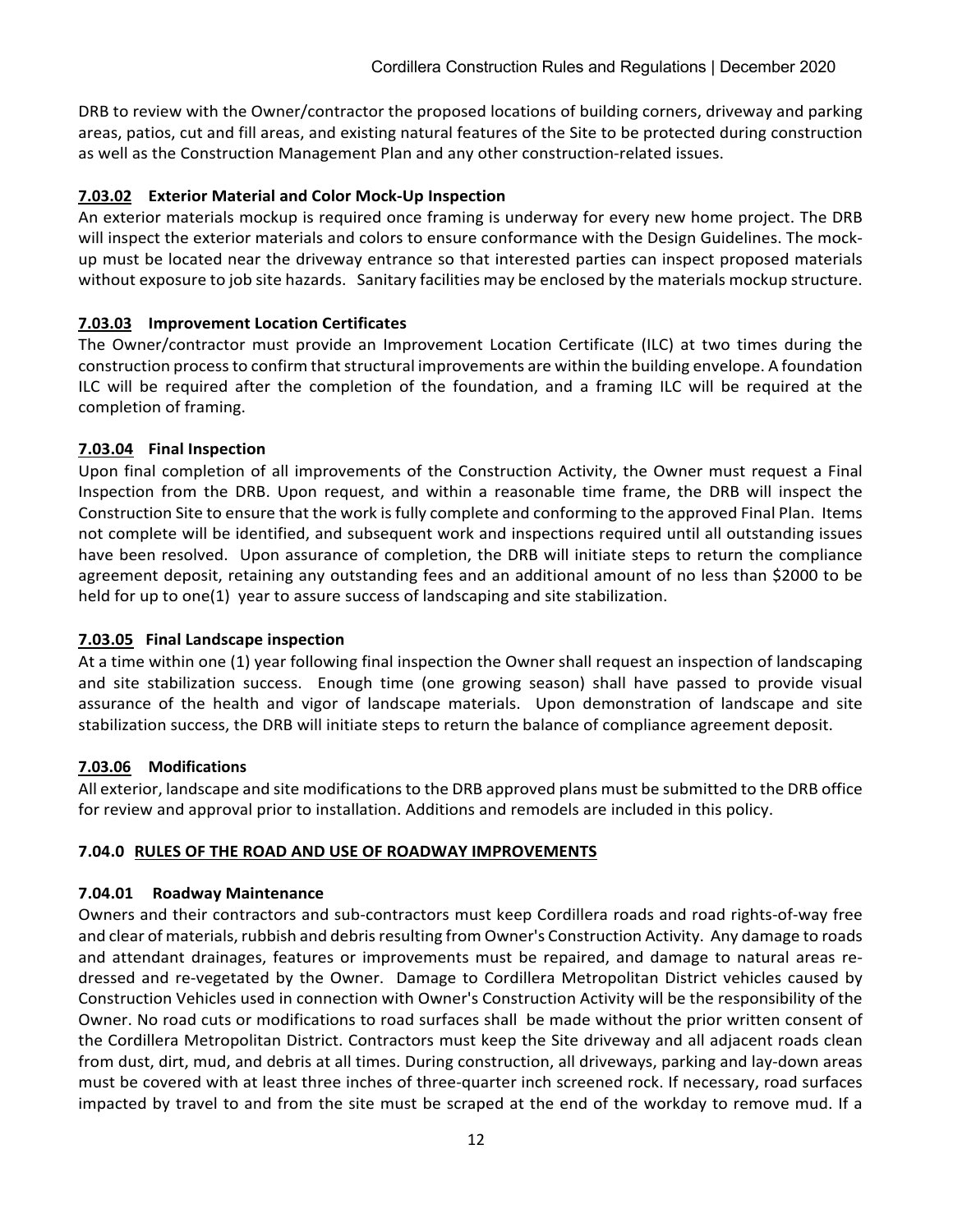DRB to review with the Owner/contractor the proposed locations of building corners, driveway and parking areas, patios, cut and fill areas, and existing natural features of the Site to be protected during construction as well as the Construction Management Plan and any other construction-related issues.

## **7.03.02 Exterior Material and Color Mock-Up Inspection**

An exterior materials mockup is required once framing is underway for every new home project. The DRB will inspect the exterior materials and colors to ensure conformance with the Design Guidelines. The mockup must be located near the driveway entrance so that interested parties can inspect proposed materials without exposure to job site hazards. Sanitary facilities may be enclosed by the materials mockup structure.

## **7.03.03 Improvement Location Certificates**

The Owner/contractor must provide an Improvement Location Certificate (ILC) at two times during the construction processto confirm that structural improvements are within the building envelope. A foundation ILC will be required after the completion of the foundation, and a framing ILC will be required at the completion of framing.

## **7.03.04 Final Inspection**

Upon final completion of all improvements of the Construction Activity, the Owner must request a Final Inspection from the DRB. Upon request, and within a reasonable time frame, the DRB will inspect the Construction Site to ensure that the work is fully complete and conforming to the approved Final Plan. Items not complete will be identified, and subsequent work and inspections required until all outstanding issues have been resolved. Upon assurance of completion, the DRB will initiate steps to return the compliance agreement deposit, retaining any outstanding fees and an additional amount of no less than \$2000 to be held for up to one(1) year to assure success of landscaping and site stabilization.

## **7.03.05 Final Landscape inspection**

At a time within one (1) year following final inspection the Owner shall request an inspection of landscaping and site stabilization success. Enough time (one growing season) shall have passed to provide visual assurance of the health and vigor of landscape materials. Upon demonstration of landscape and site stabilization success, the DRB will initiate steps to return the balance of compliance agreement deposit.

## **7.03.06 Modifications**

All exterior, landscape and site modifications to the DRB approved plans must be submitted to the DRB office for review and approval prior to installation. Additions and remodels are included in this policy.

## **7.04.0 RULES OF THE ROAD AND USE OF ROADWAY IMPROVEMENTS**

## **7.04.01 Roadway Maintenance**

Owners and their contractors and sub-contractors must keep Cordillera roads and road rights-of-way free and clear of materials, rubbish and debris resulting from Owner's Construction Activity. Any damage to roads and attendant drainages, features or improvements must be repaired, and damage to natural areas redressed and re-vegetated by the Owner. Damage to Cordillera Metropolitan District vehicles caused by Construction Vehicles used in connection with Owner's Construction Activity will be the responsibility of the Owner. No road cuts or modifications to road surfaces shall be made without the prior written consent of the Cordillera Metropolitan District. Contractors must keep the Site driveway and all adjacent roads clean from dust, dirt, mud, and debris at all times. During construction, all driveways, parking and lay-down areas must be covered with at least three inches of three-quarter inch screened rock. If necessary, road surfaces impacted by travel to and from the site must be scraped at the end of the workday to remove mud. If a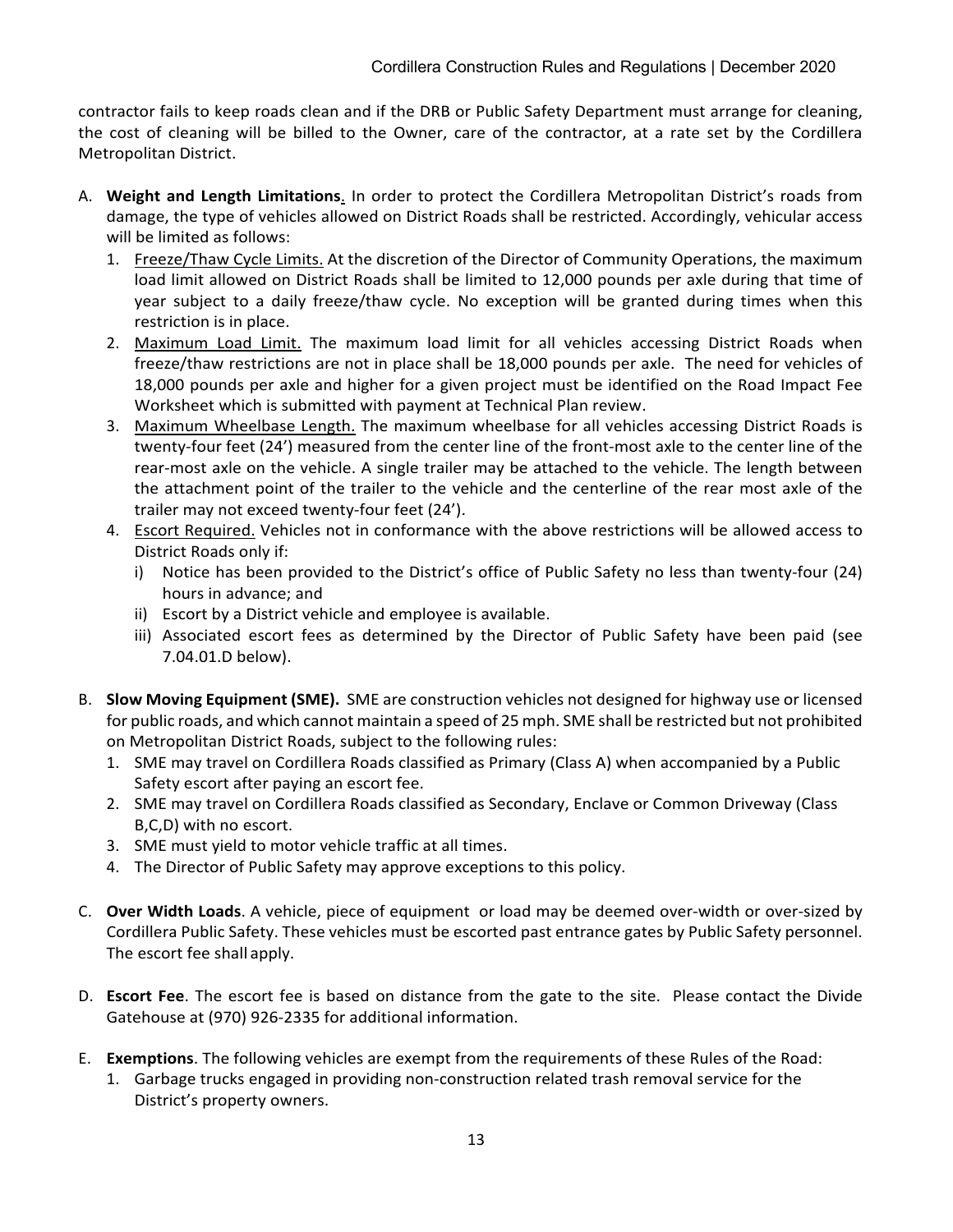contractor fails to keep roads clean and if the DRB or Public Safety Department must arrange for cleaning, the cost of cleaning will be billed to the Owner, care of the contractor, at a rate set by the Cordillera Metropolitan District.

- A. **Weight and Length Limitations**. In order to protect the Cordillera Metropolitan District's roads from damage, the type of vehicles allowed on District Roads shall be restricted. Accordingly, vehicular access will be limited as follows:
	- 1. Freeze/Thaw Cycle Limits. At the discretion of the Director of Community Operations, the maximum load limit allowed on District Roads shall be limited to 12,000 pounds per axle during that time of year subject to a daily freeze/thaw cycle. No exception will be granted during times when this restriction is in place.
	- 2. Maximum Load Limit. The maximum load limit for all vehicles accessing District Roads when freeze/thaw restrictions are not in place shall be 18,000 pounds per axle. The need for vehicles of 18,000 pounds per axle and higher for a given project must be identified on the Road Impact Fee Worksheet which is submitted with payment at Technical Plan review.
	- 3. Maximum Wheelbase Length. The maximum wheelbase for all vehicles accessing District Roads is twenty-four feet (24') measured from the center line of the front-most axle to the center line of the rear-most axle on the vehicle. A single trailer may be attached to the vehicle. The length between the attachment point of the trailer to the vehicle and the centerline of the rear most axle of the trailer may not exceed twenty-four feet (24').
	- 4. Escort Required. Vehicles not in conformance with the above restrictions will be allowed access to District Roads only if:
		- i) Notice has been provided to the District's office of Public Safety no less than twenty-four (24) hours in advance; and
		- ii) Escort by a District vehicle and employee is available.
		- iii) Associated escort fees as determined by the Director of Public Safety have been paid (see 7.04.01.D below).
- B. **Slow Moving Equipment (SME).** SME are construction vehicles not designed for highway use or licensed for public roads, and which cannot maintain a speed of 25 mph. SME shall be restricted but not prohibited on Metropolitan District Roads, subject to the following rules:
	- 1. SME may travel on Cordillera Roads classified as Primary (Class A) when accompanied by a Public Safety escort after paying an escort fee.
	- 2. SME may travel on Cordillera Roads classified as Secondary, Enclave or Common Driveway (Class B,C,D) with no escort.
	- 3. SME must yield to motor vehicle traffic at all times.
	- 4. The Director of Public Safety may approve exceptions to this policy.
- C. **Over Width Loads**. A vehicle, piece of equipment or load may be deemed over-width or over-sized by Cordillera Public Safety. These vehicles must be escorted past entrance gates by Public Safety personnel. The escort fee shall apply.
- D. **Escort Fee**. The escort fee is based on distance from the gate to the site. Please contact the Divide Gatehouse at (970) 926-2335 for additional information.
- E. **Exemptions**. The following vehicles are exempt from the requirements of these Rules of the Road:
	- 1. Garbage trucks engaged in providing non-construction related trash removal service for the District's property owners.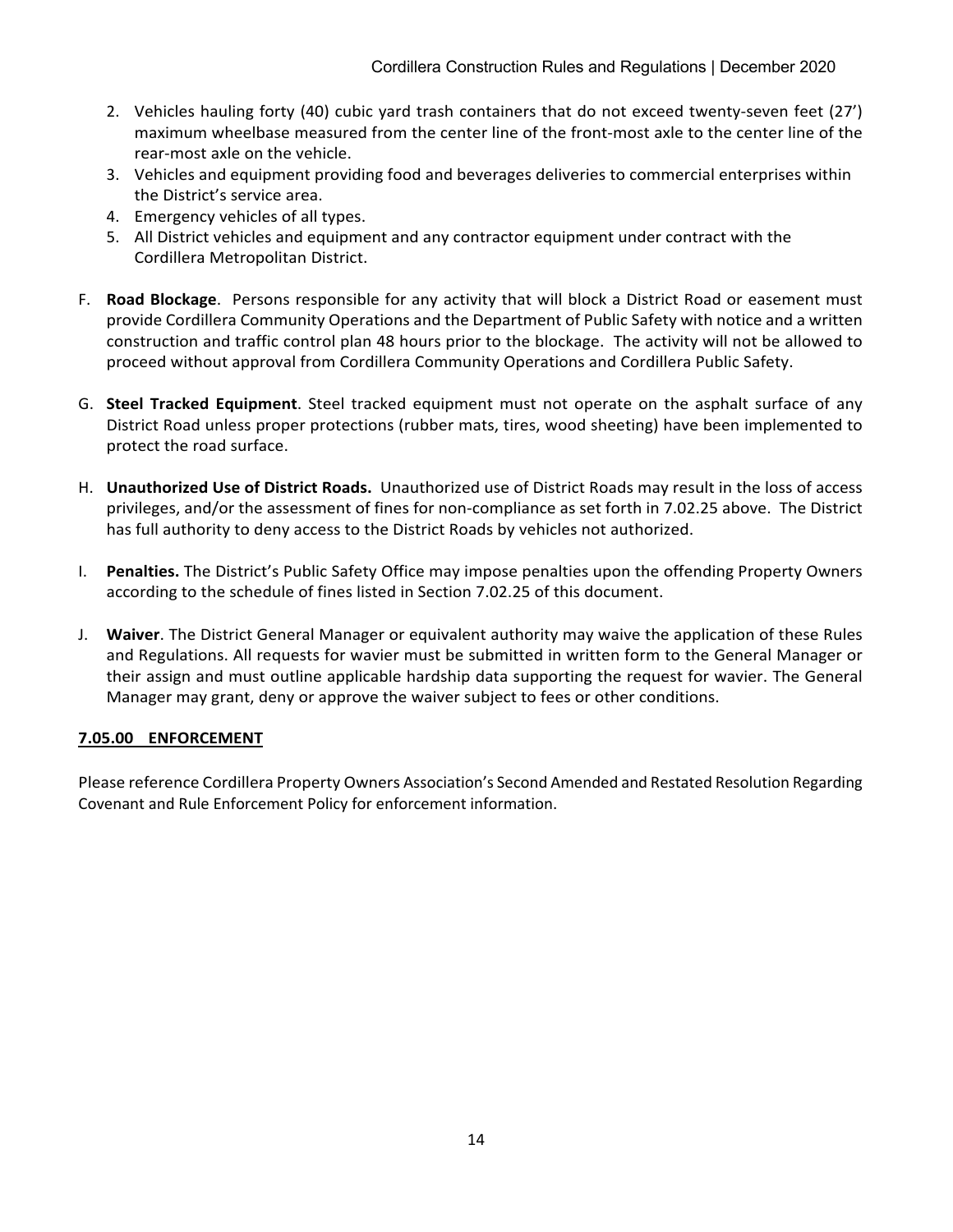- 2. Vehicles hauling forty (40) cubic yard trash containers that do not exceed twenty-seven feet (27') maximum wheelbase measured from the center line of the front-most axle to the center line of the rear-most axle on the vehicle.
- 3. Vehicles and equipment providing food and beverages deliveries to commercial enterprises within the District's service area.
- 4. Emergency vehicles of all types.
- 5. All District vehicles and equipment and any contractor equipment under contract with the Cordillera Metropolitan District.
- F. **Road Blockage**. Persons responsible for any activity that will block a District Road or easement must provide Cordillera Community Operations and the Department of Public Safety with notice and a written construction and traffic control plan 48 hours prior to the blockage. The activity will not be allowed to proceed without approval from Cordillera Community Operations and Cordillera Public Safety.
- G. **Steel Tracked Equipment**. Steel tracked equipment must not operate on the asphalt surface of any District Road unless proper protections (rubber mats, tires, wood sheeting) have been implemented to protect the road surface.
- H. **Unauthorized Use of District Roads.** Unauthorized use of District Roads may result in the loss of access privileges, and/or the assessment of fines for non-compliance as set forth in 7.02.25 above. The District has full authority to deny access to the District Roads by vehicles not authorized.
- I. **Penalties.** The District's Public Safety Office may impose penalties upon the offending Property Owners according to the schedule of fines listed in Section 7.02.25 of this document.
- J. **Waiver**. The District General Manager or equivalent authority may waive the application of these Rules and Regulations. All requests for wavier must be submitted in written form to the General Manager or their assign and must outline applicable hardship data supporting the request for wavier. The General Manager may grant, deny or approve the waiver subject to fees or other conditions.

## **7.05.00 ENFORCEMENT**

Please reference Cordillera Property Owners Association's Second Amended and Restated Resolution Regarding Covenant and Rule Enforcement Policy for enforcement information.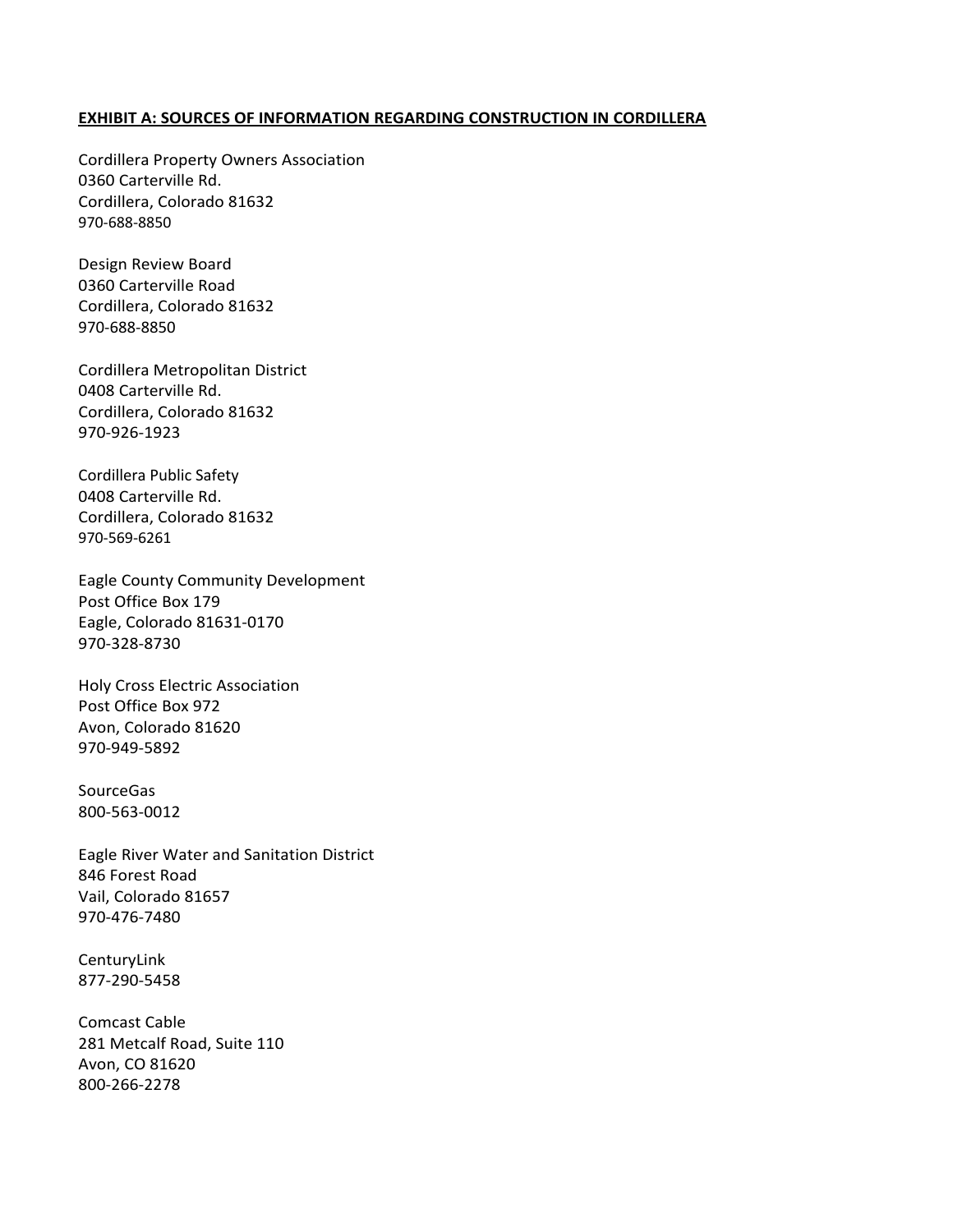#### **EXHIBIT A: SOURCES OF INFORMATION REGARDING CONSTRUCTION IN CORDILLERA**

Cordillera Property Owners Association 0360 Carterville Rd. Cordillera, Colorado 81632 970-688-8850

Design Review Board 0360 Carterville Road Cordillera, Colorado 81632 970-688-8850

Cordillera Metropolitan District 0408 Carterville Rd. Cordillera, Colorado 81632 970-926-1923

Cordillera Public Safety 0408 Carterville Rd. Cordillera, Colorado 81632 970-569-6261

Eagle County Community Development Post Office Box 179 Eagle, Colorado 81631-0170 970-328-8730

Holy Cross Electric Association Post Office Box 972 Avon, Colorado 81620 970-949-5892

**SourceGas** 800-563-0012

Eagle River Water and Sanitation District 846 Forest Road Vail, Colorado 81657 970-476-7480

CenturyLink 877-290-5458

Comcast Cable 281 Metcalf Road, Suite 110 Avon, CO 81620 800-266-2278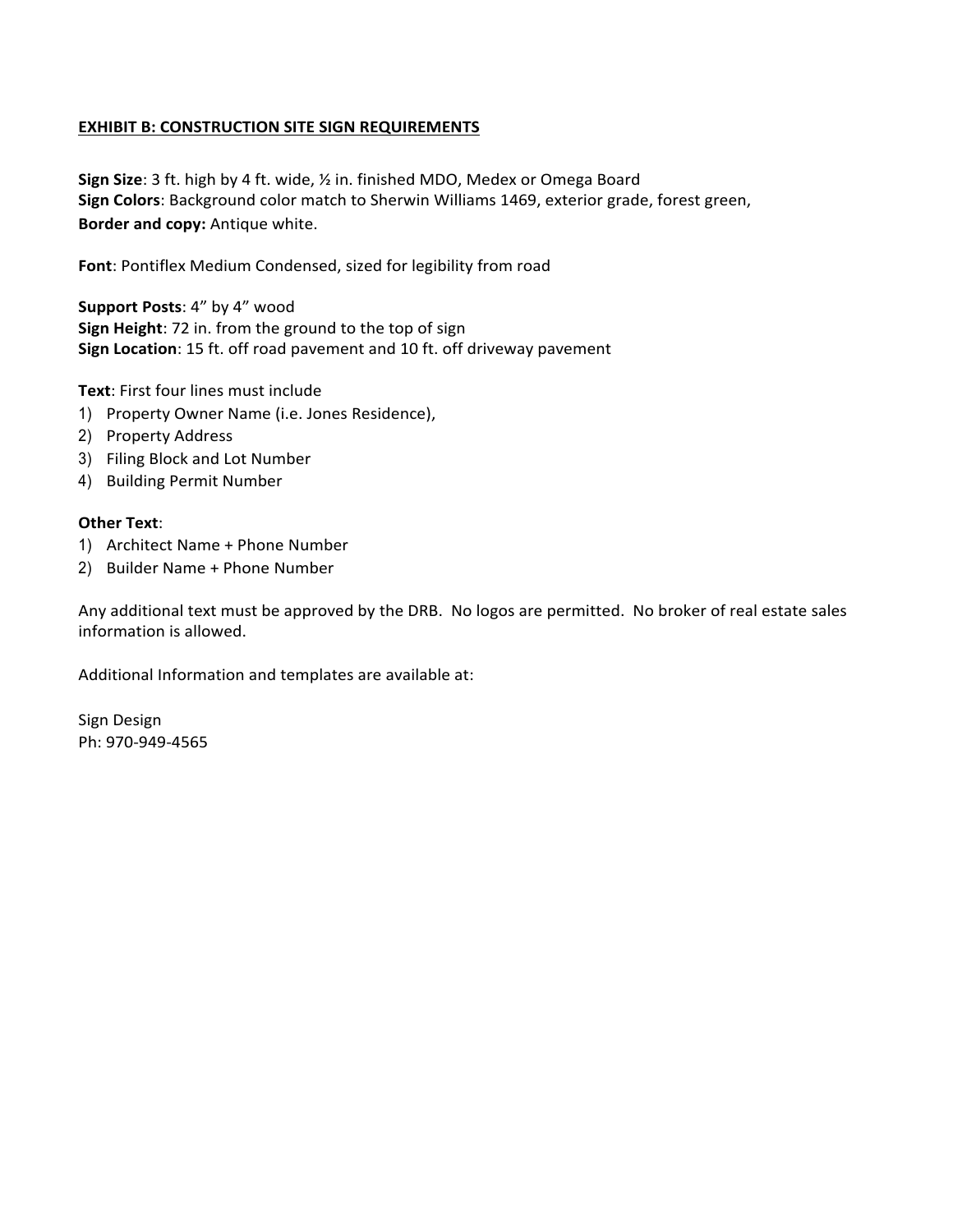#### **EXHIBIT B: CONSTRUCTION SITE SIGN REQUIREMENTS**

**Sign Size**: 3 ft. high by 4 ft. wide, ½ in. finished MDO, Medex or Omega Board **Sign Colors**: Background color match to Sherwin Williams 1469, exterior grade, forest green, **Border and copy:** Antique white.

**Font**: Pontiflex Medium Condensed, sized for legibility from road

**Support Posts**: 4" by 4" wood **Sign Height**: 72 in. from the ground to the top of sign **Sign Location**: 15 ft. off road pavement and 10 ft. off driveway pavement

**Text**: First four lines must include

- 1) Property Owner Name (i.e. Jones Residence),
- 2) Property Address
- 3) Filing Block and Lot Number
- 4) Building Permit Number

#### **Other Text**:

- 1) Architect Name + Phone Number
- 2) Builder Name + Phone Number

Any additional text must be approved by the DRB. No logos are permitted. No broker of real estate sales information is allowed.

Additional Information and templates are available at:

Sign Design Ph: 970-949-4565